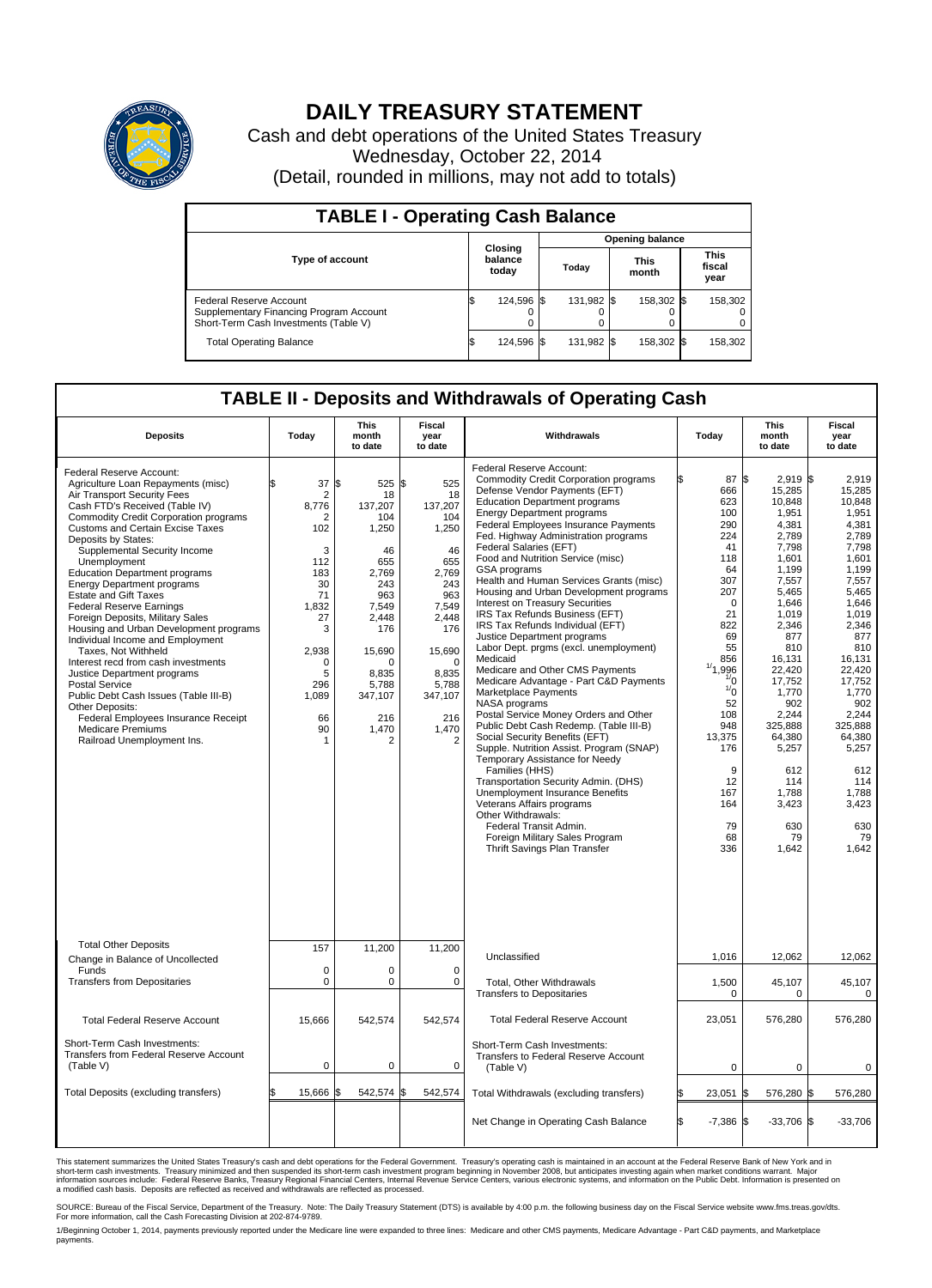

## **DAILY TREASURY STATEMENT**

Cash and debt operations of the United States Treasury Wednesday, October 22, 2014 (Detail, rounded in millions, may not add to totals)

| <b>TABLE I - Operating Cash Balance</b>                                                                     |    |                             |  |            |  |                      |  |                               |  |
|-------------------------------------------------------------------------------------------------------------|----|-----------------------------|--|------------|--|----------------------|--|-------------------------------|--|
| <b>Opening balance</b>                                                                                      |    |                             |  |            |  |                      |  |                               |  |
| <b>Type of account</b>                                                                                      |    | Closing<br>balance<br>today |  | Today      |  | <b>This</b><br>month |  | <b>This</b><br>fiscal<br>year |  |
| Federal Reserve Account<br>Supplementary Financing Program Account<br>Short-Term Cash Investments (Table V) |    | 124,596 \$                  |  | 131.982 \$ |  | 158.302 \$           |  | 158,302                       |  |
| <b>Total Operating Balance</b>                                                                              | ß. | 124,596 \$                  |  | 131,982 \$ |  | 158,302 \$           |  | 158,302                       |  |

## **TABLE II - Deposits and Withdrawals of Operating Cash**

| <b>Deposits</b>                                                                                                                                                                                                                                                                                                                                                                                                                                                                                                                                                                                                                                                                                                                                                                                                                                 | Today                                                                                                                                            | <b>This</b><br>month<br>to date                                                                                                                                                 | <b>Fiscal</b><br>year<br>to date                                                                                                                                                | Withdrawals                                                                                                                                                                                                                                                                                                                                                                                                                                                                                                                                                                                                                                                                                                                                                                                                                                                                                                                                                                                                                                                                                                                                                                                                          | Today                                                                                                                                                                                                                                                      | <b>This</b><br>month<br>to date                                                                                                                                                                                                                                                            | Fiscal<br>year<br>to date                                                                                                                                                                                                                                                             |
|-------------------------------------------------------------------------------------------------------------------------------------------------------------------------------------------------------------------------------------------------------------------------------------------------------------------------------------------------------------------------------------------------------------------------------------------------------------------------------------------------------------------------------------------------------------------------------------------------------------------------------------------------------------------------------------------------------------------------------------------------------------------------------------------------------------------------------------------------|--------------------------------------------------------------------------------------------------------------------------------------------------|---------------------------------------------------------------------------------------------------------------------------------------------------------------------------------|---------------------------------------------------------------------------------------------------------------------------------------------------------------------------------|----------------------------------------------------------------------------------------------------------------------------------------------------------------------------------------------------------------------------------------------------------------------------------------------------------------------------------------------------------------------------------------------------------------------------------------------------------------------------------------------------------------------------------------------------------------------------------------------------------------------------------------------------------------------------------------------------------------------------------------------------------------------------------------------------------------------------------------------------------------------------------------------------------------------------------------------------------------------------------------------------------------------------------------------------------------------------------------------------------------------------------------------------------------------------------------------------------------------|------------------------------------------------------------------------------------------------------------------------------------------------------------------------------------------------------------------------------------------------------------|--------------------------------------------------------------------------------------------------------------------------------------------------------------------------------------------------------------------------------------------------------------------------------------------|---------------------------------------------------------------------------------------------------------------------------------------------------------------------------------------------------------------------------------------------------------------------------------------|
| Federal Reserve Account:<br>Agriculture Loan Repayments (misc)<br>Air Transport Security Fees<br>Cash FTD's Received (Table IV)<br><b>Commodity Credit Corporation programs</b><br>Customs and Certain Excise Taxes<br>Deposits by States:<br>Supplemental Security Income<br>Unemployment<br><b>Education Department programs</b><br><b>Energy Department programs</b><br><b>Estate and Gift Taxes</b><br><b>Federal Reserve Earnings</b><br>Foreign Deposits, Military Sales<br>Housing and Urban Development programs<br>Individual Income and Employment<br>Taxes, Not Withheld<br>Interest recd from cash investments<br>Justice Department programs<br><b>Postal Service</b><br>Public Debt Cash Issues (Table III-B)<br>Other Deposits:<br>Federal Employees Insurance Receipt<br><b>Medicare Premiums</b><br>Railroad Unemployment Ins. | 37<br>\$<br>2<br>8,776<br>2<br>102<br>3<br>112<br>183<br>30<br>71<br>1,832<br>27<br>3<br>2,938<br>$\Omega$<br>5<br>296<br>1,089<br>66<br>90<br>1 | \$<br>525<br>18<br>137,207<br>104<br>1,250<br>46<br>655<br>2,769<br>243<br>963<br>7,549<br>2,448<br>176<br>15,690<br>$\Omega$<br>8,835<br>5,788<br>347,107<br>216<br>1,470<br>2 | \$<br>525<br>18<br>137,207<br>104<br>1,250<br>46<br>655<br>2,769<br>243<br>963<br>7,549<br>2,448<br>176<br>15,690<br>$\Omega$<br>8,835<br>5,788<br>347,107<br>216<br>1,470<br>2 | Federal Reserve Account:<br><b>Commodity Credit Corporation programs</b><br>Defense Vendor Payments (EFT)<br><b>Education Department programs</b><br><b>Energy Department programs</b><br><b>Federal Employees Insurance Payments</b><br>Fed. Highway Administration programs<br>Federal Salaries (EFT)<br>Food and Nutrition Service (misc)<br>GSA programs<br>Health and Human Services Grants (misc)<br>Housing and Urban Development programs<br>Interest on Treasury Securities<br>IRS Tax Refunds Business (EFT)<br>IRS Tax Refunds Individual (EFT)<br>Justice Department programs<br>Labor Dept. prgms (excl. unemployment)<br>Medicaid<br>Medicare and Other CMS Payments<br>Medicare Advantage - Part C&D Payments<br>Marketplace Payments<br>NASA programs<br>Postal Service Money Orders and Other<br>Public Debt Cash Redemp. (Table III-B)<br>Social Security Benefits (EFT)<br>Supple. Nutrition Assist. Program (SNAP)<br>Temporary Assistance for Needy<br>Families (HHS)<br>Transportation Security Admin. (DHS)<br>Unemployment Insurance Benefits<br>Veterans Affairs programs<br>Other Withdrawals:<br>Federal Transit Admin.<br>Foreign Military Sales Program<br>Thrift Savings Plan Transfer | 87 \$<br>666<br>623<br>100<br>290<br>224<br>41<br>118<br>64<br>307<br>207<br>$\mathbf 0$<br>21<br>822<br>69<br>55<br>856<br>1/1<br>,996<br>$\frac{1}{0}$<br>$\frac{1}{0}$<br>52<br>108<br>948<br>13,375<br>176<br>9<br>12<br>167<br>164<br>79<br>68<br>336 | $2,919$ \$<br>15,285<br>10,848<br>1,951<br>4.381<br>2,789<br>7,798<br>1,601<br>1.199<br>7,557<br>5,465<br>1,646<br>1,019<br>2,346<br>877<br>810<br>16,131<br>22,420<br>17,752<br>1,770<br>902<br>2,244<br>325,888<br>64,380<br>5,257<br>612<br>114<br>1,788<br>3,423<br>630<br>79<br>1,642 | 2.919<br>15,285<br>10.848<br>1,951<br>4.381<br>2,789<br>7,798<br>1,601<br>1.199<br>7,557<br>5,465<br>1,646<br>1,019<br>2,346<br>877<br>810<br>16,131<br>22,420<br>17.752<br>1,770<br>902<br>2,244<br>325.888<br>64,380<br>5,257<br>612<br>114<br>1,788<br>3,423<br>630<br>79<br>1,642 |
| <b>Total Other Deposits</b><br>Change in Balance of Uncollected                                                                                                                                                                                                                                                                                                                                                                                                                                                                                                                                                                                                                                                                                                                                                                                 | 157                                                                                                                                              | 11,200                                                                                                                                                                          | 11,200                                                                                                                                                                          | Unclassified                                                                                                                                                                                                                                                                                                                                                                                                                                                                                                                                                                                                                                                                                                                                                                                                                                                                                                                                                                                                                                                                                                                                                                                                         | 1,016                                                                                                                                                                                                                                                      | 12,062                                                                                                                                                                                                                                                                                     | 12,062                                                                                                                                                                                                                                                                                |
| Funds<br><b>Transfers from Depositaries</b>                                                                                                                                                                                                                                                                                                                                                                                                                                                                                                                                                                                                                                                                                                                                                                                                     | $\mathbf 0$<br>$\mathbf 0$                                                                                                                       | 0<br>0                                                                                                                                                                          | $\mathbf 0$<br>$\mathbf 0$                                                                                                                                                      | <b>Total, Other Withdrawals</b><br><b>Transfers to Depositaries</b>                                                                                                                                                                                                                                                                                                                                                                                                                                                                                                                                                                                                                                                                                                                                                                                                                                                                                                                                                                                                                                                                                                                                                  | 1,500<br>$\Omega$                                                                                                                                                                                                                                          | 45,107<br>$\Omega$                                                                                                                                                                                                                                                                         | 45,107<br>$\mathbf 0$                                                                                                                                                                                                                                                                 |
| <b>Total Federal Reserve Account</b>                                                                                                                                                                                                                                                                                                                                                                                                                                                                                                                                                                                                                                                                                                                                                                                                            | 15,666                                                                                                                                           | 542,574                                                                                                                                                                         | 542,574                                                                                                                                                                         | <b>Total Federal Reserve Account</b>                                                                                                                                                                                                                                                                                                                                                                                                                                                                                                                                                                                                                                                                                                                                                                                                                                                                                                                                                                                                                                                                                                                                                                                 | 23,051                                                                                                                                                                                                                                                     | 576,280                                                                                                                                                                                                                                                                                    | 576,280                                                                                                                                                                                                                                                                               |
| Short-Term Cash Investments:<br>Transfers from Federal Reserve Account<br>(Table V)                                                                                                                                                                                                                                                                                                                                                                                                                                                                                                                                                                                                                                                                                                                                                             | $\pmb{0}$                                                                                                                                        | 0                                                                                                                                                                               | $\mathbf 0$                                                                                                                                                                     | Short-Term Cash Investments:<br>Transfers to Federal Reserve Account<br>(Table V)                                                                                                                                                                                                                                                                                                                                                                                                                                                                                                                                                                                                                                                                                                                                                                                                                                                                                                                                                                                                                                                                                                                                    | $\mathbf 0$                                                                                                                                                                                                                                                | 0                                                                                                                                                                                                                                                                                          | 0                                                                                                                                                                                                                                                                                     |
| Total Deposits (excluding transfers)                                                                                                                                                                                                                                                                                                                                                                                                                                                                                                                                                                                                                                                                                                                                                                                                            | 15,666                                                                                                                                           | 542,574 \$<br>\$                                                                                                                                                                | 542,574                                                                                                                                                                         | Total Withdrawals (excluding transfers)                                                                                                                                                                                                                                                                                                                                                                                                                                                                                                                                                                                                                                                                                                                                                                                                                                                                                                                                                                                                                                                                                                                                                                              | 23,051                                                                                                                                                                                                                                                     | 576,280 \$                                                                                                                                                                                                                                                                                 | 576,280                                                                                                                                                                                                                                                                               |
|                                                                                                                                                                                                                                                                                                                                                                                                                                                                                                                                                                                                                                                                                                                                                                                                                                                 |                                                                                                                                                  |                                                                                                                                                                                 |                                                                                                                                                                                 | Net Change in Operating Cash Balance                                                                                                                                                                                                                                                                                                                                                                                                                                                                                                                                                                                                                                                                                                                                                                                                                                                                                                                                                                                                                                                                                                                                                                                 | Ŝ.<br>$-7,386$ \$                                                                                                                                                                                                                                          | $-33,706$ \$                                                                                                                                                                                                                                                                               | $-33,706$                                                                                                                                                                                                                                                                             |

This statement summarizes the United States Treasury's cash and debt operations for the Federal Government. Treasury's operating cash is maintained in an account at the Federal Reserve Bank of New York and in<br>short-term ca

SOURCE: Bureau of the Fiscal Service, Department of the Treasury. Note: The Daily Treasury Statement (DTS) is available by 4:00 p.m. the following business day on the Fiscal Service website www.fms.treas.gov/dts.<br>For more

1/Beginning October 1, 2014, payments previously reported under the Medicare line were expanded to three lines: Medicare and other CMS payments, Medicare Advantage - Part C&D payments, and Marketplace payments.